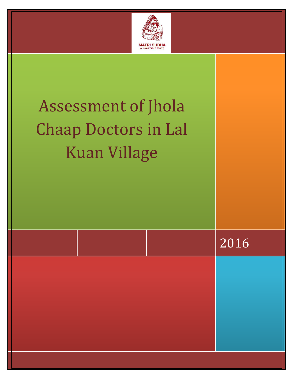

| Assessment of Jhola<br><b>Chaap Doctors in Lal</b><br><b>Kuan Village</b> |      |
|---------------------------------------------------------------------------|------|
|                                                                           | 2016 |
|                                                                           |      |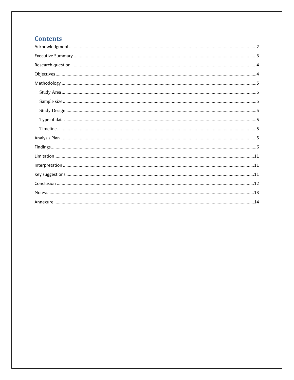# **Contents**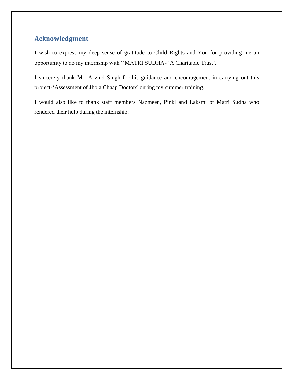# <span id="page-2-0"></span>**Acknowledgment**

I wish to express my deep sense of gratitude to Child Rights and You for providing me an opportunity to do my internship with ''MATRI SUDHA- 'A Charitable Trust'.

I sincerely thank Mr. Arvind Singh for his guidance and encouragement in carrying out this project-'Assessment of Jhola Chaap Doctors' during my summer training.

I would also like to thank staff members Nazmeen, Pinki and Laksmi of Matri Sudha who rendered their help during the internship.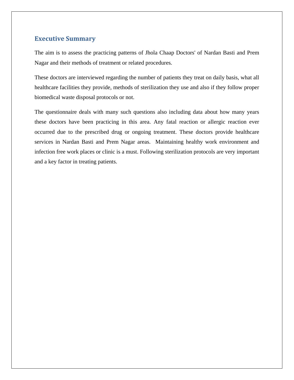### <span id="page-3-0"></span>**Executive Summary**

The aim is to assess the practicing patterns of Jhola Chaap Doctors' of Nardan Basti and Prem Nagar and their methods of treatment or related procedures.

These doctors are interviewed regarding the number of patients they treat on daily basis, what all healthcare facilities they provide, methods of sterilization they use and also if they follow proper biomedical waste disposal protocols or not.

The questionnaire deals with many such questions also including data about how many years these doctors have been practicing in this area. Any fatal reaction or allergic reaction ever occurred due to the prescribed drug or ongoing treatment. These doctors provide healthcare services in Nardan Basti and Prem Nagar areas. Maintaining healthy work environment and infection free work places or clinic is a must. Following sterilization protocols are very important and a key factor in treating patients.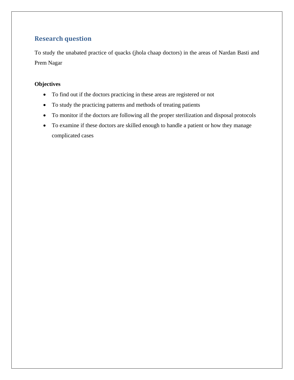# <span id="page-4-0"></span>**Research question**

To study the unabated practice of quacks (jhola chaap doctors) in the areas of Nardan Basti and Prem Nagar

### <span id="page-4-1"></span>**Objectives**

- To find out if the doctors practicing in these areas are registered or not
- To study the practicing patterns and methods of treating patients
- To monitor if the doctors are following all the proper sterilization and disposal protocols
- To examine if these doctors are skilled enough to handle a patient or how they manage complicated cases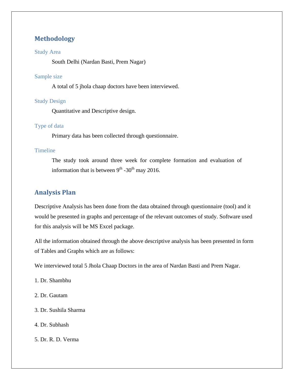# <span id="page-5-0"></span>**Methodology**

#### <span id="page-5-1"></span>Study Area

South Delhi (Nardan Basti, Prem Nagar)

#### <span id="page-5-2"></span>Sample size

A total of 5 jhola chaap doctors have been interviewed.

#### <span id="page-5-3"></span>Study Design

Quantitative and Descriptive design.

#### <span id="page-5-4"></span>Type of data

Primary data has been collected through questionnaire.

#### <span id="page-5-5"></span>Timeline

The study took around three week for complete formation and evaluation of information that is between  $9<sup>th</sup>$  -30<sup>th</sup> may 2016.

#### <span id="page-5-6"></span>**Analysis Plan**

Descriptive Analysis has been done from the data obtained through questionnaire (tool) and it would be presented in graphs and percentage of the relevant outcomes of study. Software used for this analysis will be MS Excel package.

All the information obtained through the above descriptive analysis has been presented in form of Tables and Graphs which are as follows:

We interviewed total 5 Jhola Chaap Doctors in the area of Nardan Basti and Prem Nagar.

- 1. Dr. Shambhu
- 2. Dr. Gautam
- 3. Dr. Sushila Sharma
- 4. Dr. Subhash
- 5. Dr. R. D. Verma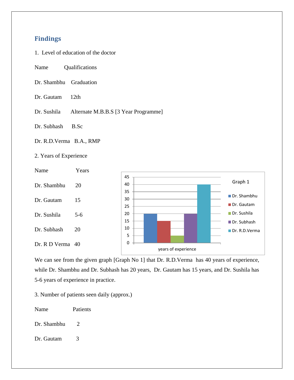### <span id="page-6-0"></span>**Findings**

- 1. Level of education of the doctor
- Name Qualifications
- Dr. Shambhu Graduation
- Dr. Gautam 12th
- Dr. Sushila Alternate M.B.B.S [3 Year Programme]
- Dr. Subhash B.Sc
- Dr. R.D.Verma B.A., RMP
- 2. Years of Experience



We can see from the given graph [Graph No 1] that Dr. R.D.Verma has 40 years of experience, while Dr. Shambhu and Dr. Subhash has 20 years, Dr. Gautam has 15 years, and Dr. Sushila has 5-6 years of experience in practice.

3. Number of patients seen daily (approx.)

Name Patients

- Dr. Shambhu 2
- Dr. Gautam 3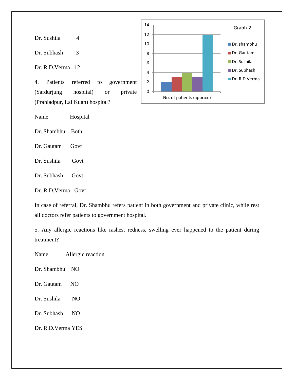Dr. Sushila 4

Dr. Subhash 3

Dr. R.D.Verma 12

4. Patients referred to government (Safdurjung hospital) or private (Prahladpur, Lal Kuan) hospital?

Name Hospital

Dr. Shambhu Both

Dr. Gautam Govt

Dr. Sushila Govt

Dr. Subhash Govt

Dr. R.D.Verma Govt

In case of referral, Dr. Shambhu refers patient in both government and private clinic, while rest all doctors refer patients to government hospital.

5. Any allergic reactions like rashes, redness, swelling ever happened to the patient during treatment?

Name Allergic reaction

Dr. Shambhu NO

Dr. Gautam NO

Dr. Sushila NO

Dr. Subhash NO

Dr. R.D.Verma YES

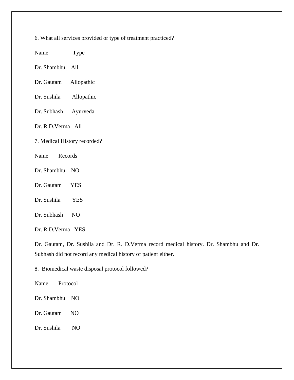6. What all services provided or type of treatment practiced?

| Name | <b>Type</b> |
|------|-------------|
|------|-------------|

Dr. Shambhu All

- Dr. Gautam Allopathic
- Dr. Sushila Allopathic
- Dr. Subhash Ayurveda

Dr. R.D.Verma All

- 7. Medical History recorded?
- Name Records
- Dr. Shambhu NO
- Dr. Gautam YES
- Dr. Sushila YES
- Dr. Subhash NO
- Dr. R.D.Verma YES

Dr. Gautam, Dr. Sushila and Dr. R. D.Verma record medical history. Dr. Shambhu and Dr. Subhash did not record any medical history of patient either.

8. Biomedical waste disposal protocol followed?

Name Protocol

- Dr. Shambhu NO
- Dr. Gautam NO
- Dr. Sushila NO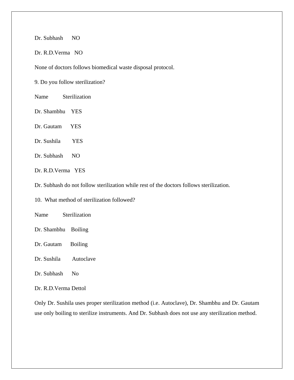Dr. Subhash NO

Dr. R.D.Verma NO

None of doctors follows biomedical waste disposal protocol.

9. Do you follow sterilization?

Name Sterilization

- Dr. Shambhu YES
- Dr. Gautam YES
- Dr. Sushila YES
- Dr. Subhash NO
- Dr. R.D.Verma YES

Dr. Subhash do not follow sterilization while rest of the doctors follows sterilization.

10. What method of sterilization followed?

Name Sterilization

- Dr. Shambhu Boiling
- Dr. Gautam Boiling
- Dr. Sushila Autoclave
- Dr. Subhash No

Dr. R.D.Verma Dettol

Only Dr. Sushila uses proper sterilization method (i.e. Autoclave), Dr. Shambhu and Dr. Gautam use only boiling to sterilize instruments. And Dr. Subhash does not use any sterilization method.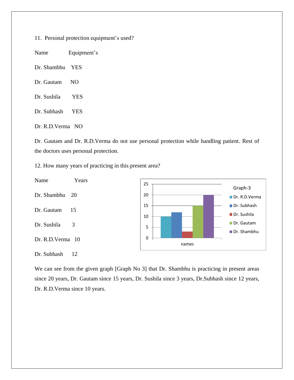11. Personal protection equipment's used?

Name Equipment's

Dr. Shambhu YES

Dr. Gautam NO

- Dr. Sushila YES
- Dr. Subhash YES

Dr. R.D.Verma NO

Dr. Gautam and Dr. R.D.Verma do not use personal protection while handling patient. Rest of the doctors uses personal protection.

12. How many years of practicing in this present area?



We can see from the given graph [Graph No 3] that Dr. Shambhu is practicing in present areas since 20 years, Dr. Gautam since 15 years, Dr. Sushila since 3 years, Dr.Subhash since 12 years, Dr. R.D.Verma since 10 years.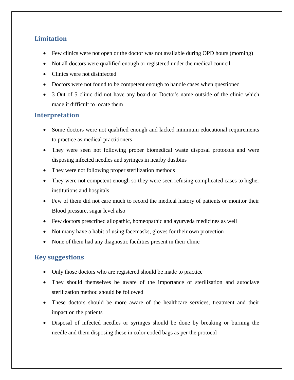# <span id="page-11-0"></span>**Limitation**

- Few clinics were not open or the doctor was not available during OPD hours (morning)
- Not all doctors were qualified enough or registered under the medical council
- Clinics were not disinfected
- Doctors were not found to be competent enough to handle cases when questioned
- 3 Out of 5 clinic did not have any board or Doctor's name outside of the clinic which made it difficult to locate them

### <span id="page-11-1"></span>**Interpretation**

- Some doctors were not qualified enough and lacked minimum educational requirements to practice as medical practitioners
- They were seen not following proper biomedical waste disposal protocols and were disposing infected needles and syringes in nearby dustbins
- They were not following proper sterilization methods
- They were not competent enough so they were seen refusing complicated cases to higher institutions and hospitals
- Few of them did not care much to record the medical history of patients or monitor their Blood pressure, sugar level also
- Few doctors prescribed allopathic, homeopathic and ayurveda medicines as well
- Not many have a habit of using facemasks, gloves for their own protection
- None of them had any diagnostic facilities present in their clinic

### <span id="page-11-2"></span>**Key suggestions**

- Only those doctors who are registered should be made to practice
- They should themselves be aware of the importance of sterilization and autoclave sterilization method should be followed
- These doctors should be more aware of the healthcare services, treatment and their impact on the patients
- Disposal of infected needles or syringes should be done by breaking or burning the needle and them disposing these in color coded bags as per the protocol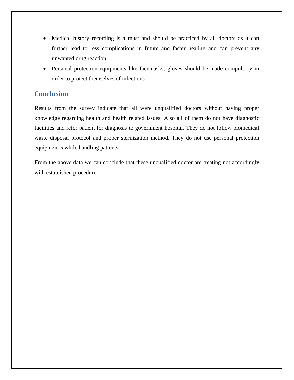- Medical history recording is a must and should be practiced by all doctors as it can further lead to less complications in future and faster healing and can prevent any unwanted drug reaction
- Personal protection equipments like facemasks, gloves should be made compulsory in order to protect themselves of infections

### <span id="page-12-0"></span>**Conclusion**

Results from the survey indicate that all were unqualified doctors without having proper knowledge regarding health and health related issues. Also all of them do not have diagnostic facilities and refer patient for diagnosis to government hospital. They do not follow biomedical waste disposal protocol and proper sterilization method. They do not use personal protection equipment's while handling patients.

From the above data we can conclude that these unqualified doctor are treating not accordingly with established procedure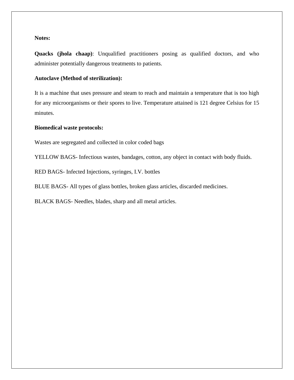#### <span id="page-13-0"></span>**Notes:**

**Quacks (jhola chaap)**: Unqualified practitioners posing as qualified doctors, and who administer potentially dangerous treatments to patients.

#### **Autoclave (Method of sterilization):**

It is a machine that uses pressure and steam to reach and maintain a temperature that is too high for any microorganisms or their spores to live. Temperature attained is 121 degree Celsius for 15 minutes.

#### **Biomedical waste protocols:**

Wastes are segregated and collected in color coded bags

YELLOW BAGS- Infectious wastes, bandages, cotton, any object in contact with body fluids.

RED BAGS- Infected Injections, syringes, I.V. bottles

BLUE BAGS- All types of glass bottles, broken glass articles, discarded medicines.

BLACK BAGS- Needles, blades, sharp and all metal articles.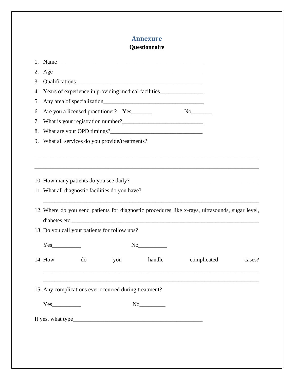### **Annexure**

### **Questionnaire**

<span id="page-14-0"></span>

|    | 1. Name                                                                                                              |        |             |        |
|----|----------------------------------------------------------------------------------------------------------------------|--------|-------------|--------|
|    | 2. Age <u>examed a series of the series of the series of the series of the series of the series of the series of</u> |        |             |        |
| 3. |                                                                                                                      |        |             |        |
|    | 4. Years of experience in providing medical facilities                                                               |        |             |        |
|    |                                                                                                                      |        |             |        |
|    | 6. Are you a licensed practitioner? Yes                                                                              |        |             |        |
|    |                                                                                                                      |        |             |        |
| 8. |                                                                                                                      |        |             |        |
|    | 9. What all services do you provide/treatments?                                                                      |        |             |        |
|    |                                                                                                                      |        |             |        |
|    |                                                                                                                      |        |             |        |
|    |                                                                                                                      |        |             |        |
|    |                                                                                                                      |        |             |        |
|    | 11. What all diagnostic facilities do you have?                                                                      |        |             |        |
|    |                                                                                                                      |        |             |        |
|    | 12. Where do you send patients for diagnostic procedures like x-rays, ultrasounds, sugar level,                      |        |             |        |
|    |                                                                                                                      |        |             |        |
|    | 13. Do you call your patients for follow ups?                                                                        |        |             |        |
|    |                                                                                                                      | No     |             |        |
|    |                                                                                                                      |        |             |        |
|    | 14. How<br>do<br>you                                                                                                 | handle | complicated | cases? |
|    |                                                                                                                      |        |             |        |
|    |                                                                                                                      |        |             |        |
|    | 15. Any complications ever occurred during treatment?                                                                |        |             |        |
|    |                                                                                                                      |        |             |        |
|    |                                                                                                                      |        |             |        |
|    |                                                                                                                      |        |             |        |
|    |                                                                                                                      |        |             |        |
|    |                                                                                                                      |        |             |        |
|    |                                                                                                                      |        |             |        |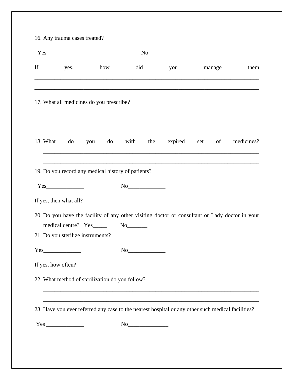| If | yes,                                               | how | did                                                                                                                                                                                                                                                                                                                                                 | you                                                                                                                                                   | manage | them                                                                                           |
|----|----------------------------------------------------|-----|-----------------------------------------------------------------------------------------------------------------------------------------------------------------------------------------------------------------------------------------------------------------------------------------------------------------------------------------------------|-------------------------------------------------------------------------------------------------------------------------------------------------------|--------|------------------------------------------------------------------------------------------------|
|    | 17. What all medicines do you prescribe?           |     |                                                                                                                                                                                                                                                                                                                                                     |                                                                                                                                                       |        |                                                                                                |
|    |                                                    |     |                                                                                                                                                                                                                                                                                                                                                     |                                                                                                                                                       |        | 18. What do you do with the expired set of medicines?                                          |
|    | 19. Do you record any medical history of patients? |     |                                                                                                                                                                                                                                                                                                                                                     |                                                                                                                                                       |        |                                                                                                |
|    | Yes                                                |     | No                                                                                                                                                                                                                                                                                                                                                  |                                                                                                                                                       |        |                                                                                                |
|    | medical centre? Yes No No                          |     |                                                                                                                                                                                                                                                                                                                                                     |                                                                                                                                                       |        | 20. Do you have the facility of any other visiting doctor or consultant or Lady doctor in your |
|    | 21. Do you sterilize instruments?                  |     |                                                                                                                                                                                                                                                                                                                                                     |                                                                                                                                                       |        |                                                                                                |
|    | $Yes$ <sub>1</sub>                                 |     |                                                                                                                                                                                                                                                                                                                                                     |                                                                                                                                                       |        |                                                                                                |
|    |                                                    |     |                                                                                                                                                                                                                                                                                                                                                     | If yes, how often? $\sqrt{\frac{2}{1-\frac{1}{2}} + \frac{1}{2-\frac{1}{2}} + \frac{1}{2-\frac{1}{2}}}$                                               |        |                                                                                                |
|    | 22. What method of sterilization do you follow?    |     |                                                                                                                                                                                                                                                                                                                                                     |                                                                                                                                                       |        |                                                                                                |
|    |                                                    |     |                                                                                                                                                                                                                                                                                                                                                     | ,我们也不能在这里的时候,我们也不能在这里的时候,我们也不能在这里的时候,我们也不能会不能会不能会不能会不能会不能会不能会不能会。<br>第2012章 我们的时候,我们的时候,我们的时候,我们的时候,我们的时候,我们的时候,我们的时候,我们的时候,我们的时候,我们的时候,我们的时候,我们的时候,我 |        |                                                                                                |
|    |                                                    |     |                                                                                                                                                                                                                                                                                                                                                     | 23. Have you ever referred any case to the nearest hospital or any other such medical facilities?                                                     |        |                                                                                                |
|    |                                                    |     | $\begin{picture}(150,10) \put(0,0){\line(1,0){10}} \put(15,0){\line(1,0){10}} \put(15,0){\line(1,0){10}} \put(15,0){\line(1,0){10}} \put(15,0){\line(1,0){10}} \put(15,0){\line(1,0){10}} \put(15,0){\line(1,0){10}} \put(15,0){\line(1,0){10}} \put(15,0){\line(1,0){10}} \put(15,0){\line(1,0){10}} \put(15,0){\line(1,0){10}} \put(15,0){\line($ |                                                                                                                                                       |        |                                                                                                |